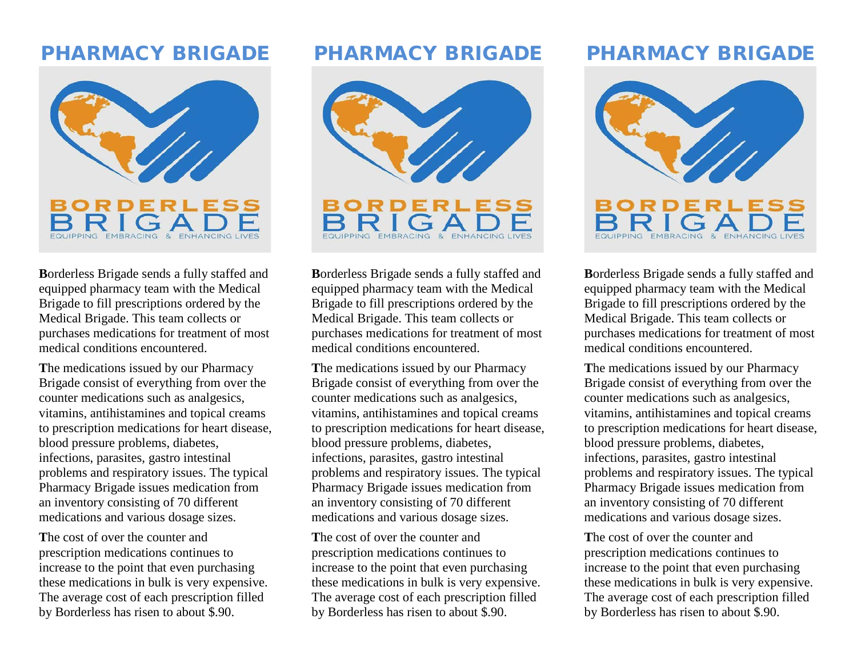## PHARMACY BRIGADE



**B**orderless Brigade sends a fully staffed and equipped pharmacy team with the Medical Brigade to fill prescriptions ordered by the Medical Brigade. This team collects or purchases medications for treatment of most medical conditions encountered.

**T**he medications issued by our Pharmacy Brigade consist of everything from over the counter medications such as analgesics, vitamins, antihistamines and topical creams to prescription medications for heart disease, blood pressure problems, diabetes, infections, parasites, gastro intestinal problems and respiratory issues. The typical Pharmacy Brigade issues medication from an inventory consisting of 70 different medications and various dosage sizes.

**T**he cost of over the counter and prescription medications continues to increase to the point that even purchasing these medications in bulk is very expensive. The average cost of each prescription filled by Borderless has risen to about \$.90.

### PHARMACY BRIGADE



**B**orderless Brigade sends a fully staffed and equipped pharmacy team with the Medical Brigade to fill prescriptions ordered by the Medical Brigade. This team collects or purchases medications for treatment of most medical conditions encountered.

**T**he medications issued by our Pharmacy Brigade consist of everything from over the counter medications such as analgesics, vitamins, antihistamines and topical creams to prescription medications for heart disease, blood pressure problems, diabetes, infections, parasites, gastro intestinal problems and respiratory issues. The typical Pharmacy Brigade issues medication from an inventory consisting of 70 different medications and various dosage sizes.

**T**he cost of over the counter and prescription medications continues to increase to the point that even purchasing these medications in bulk is very expensive. The average cost of each prescription filled by Borderless has risen to about \$.90.

# PHARMACY BRIGADE



**B**orderless Brigade sends a fully staffed and equipped pharmacy team with the Medical Brigade to fill prescriptions ordered by the Medical Brigade. This team collects or purchases medications for treatment of most medical conditions encountered.

**T**he medications issued by our Pharmacy Brigade consist of everything from over the counter medications such as analgesics, vitamins, antihistamines and topical creams to prescription medications for heart disease, blood pressure problems, diabetes, infections, parasites, gastro intestinal problems and respiratory issues. The typical Pharmacy Brigade issues medication from an inventory consisting of 70 different medications and various dosage sizes.

**T**he cost of over the counter and prescription medications continues to increase to the point that even purchasing these medications in bulk is very expensive. The average cost of each prescription filled by Borderless has risen to about \$.90.